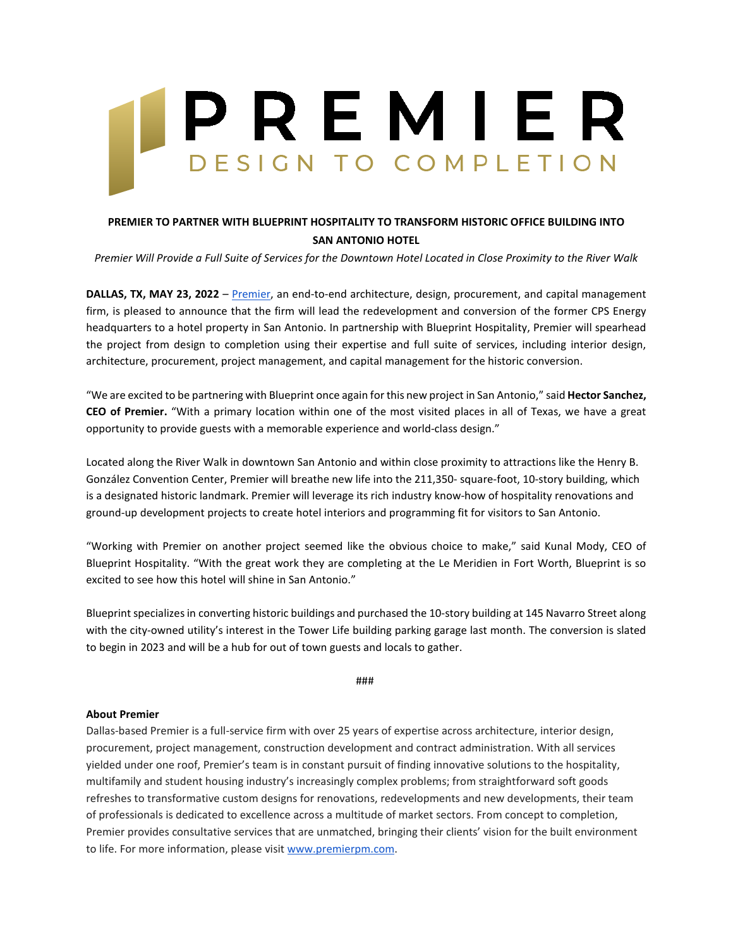## PREMIER DESIGN TO COMPLETION

## **PREMIER TO PARTNER WITH BLUEPRINT HOSPITALITY TO TRANSFORM HISTORIC OFFICE BUILDING INTO SAN ANTONIO HOTEL**

*Premier Will Provide a Full Suite of Services for the Downtown Hotel Located in Close Proximity to the River Walk*

**DALLAS, TX, MAY 23, 2022** – [Premier,](https://www.premierpm.com/) an end-to-end architecture, design, procurement, and capital management firm, is pleased to announce that the firm will lead the redevelopment and conversion of the former CPS Energy headquarters to a hotel property in San Antonio. In partnership with Blueprint Hospitality, Premier will spearhead the project from design to completion using their expertise and full suite of services, including interior design, architecture, procurement, project management, and capital management for the historic conversion.

"We are excited to be partnering with Blueprint once again for this new project in San Antonio," said **Hector Sanchez, CEO of Premier.** "With a primary location within one of the most visited places in all of Texas, we have a great opportunity to provide guests with a memorable experience and world-class design."

Located along the River Walk in downtown San Antonio and within close proximity to attractions like the Henry B. González Convention Center, Premier will breathe new life into the 211,350- square-foot, 10-story building, which is a designated historic landmark. Premier will leverage its rich industry know-how of hospitality renovations and ground-up development projects to create hotel interiors and programming fit for visitors to San Antonio.

"Working with Premier on another project seemed like the obvious choice to make," said Kunal Mody, CEO of Blueprint Hospitality. "With the great work they are completing at the Le Meridien in Fort Worth, Blueprint is so excited to see how this hotel will shine in San Antonio."

Blueprint specializes in converting historic buildings and purchased the 10-story building at 145 Navarro Street along with the city-owned utility's interest in the Tower Life building parking garage last month. The conversion is slated to begin in 2023 and will be a hub for out of town guests and locals to gather.

###

## **About Premier**

Dallas-based Premier is a full-service firm with over 25 years of expertise across architecture, interior design, procurement, project management, construction development and contract administration. With all services yielded under one roof, Premier's team is in constant pursuit of finding innovative solutions to the hospitality, multifamily and student housing industry's increasingly complex problems; from straightforward soft goods refreshes to transformative custom designs for renovations, redevelopments and new developments, their team of professionals is dedicated to excellence across a multitude of market sectors. From concept to completion, Premier provides consultative services that are unmatched, bringing their clients' vision for the built environment to life. For more information, please visit [www.premierpm.com.](http://www.premierpm.com/)